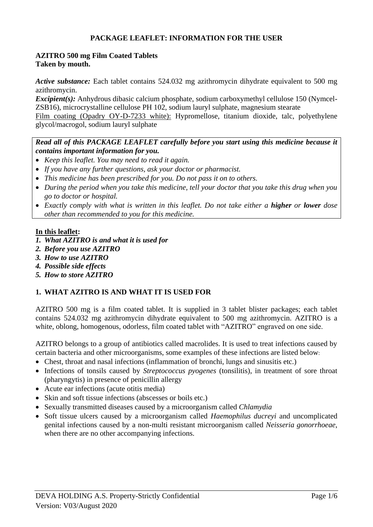# **PACKAGE LEAFLET: INFORMATION FOR THE USER**

### **AZITRO 500 mg Film Coated Tablets Taken by mouth.**

*Active substance:* Each tablet contains 524.032 mg azithromycin dihydrate equivalent to 500 mg azithromycin.

*Excipient(s)*: Anhydrous dibasic calcium phosphate, sodium carboxymethyl cellulose 150 (Nymcel-ZSB16), microcrystalline cellulose PH 102, sodium lauryl sulphate, magnesium stearate

Film coating (Opadry OY-D-7233 white): Hypromellose, titanium dioxide, talc, polyethylene glycol/macrogol, sodium lauryl sulphate

*Read all of this PACKAGE LEAFLET carefully before you start using this medicine because it contains important information for you.*

- *Keep this leaflet. You may need to read it again.*
- *If you have any further questions, ask your doctor or pharmacist.*
- *This medicine has been prescribed for you. Do not pass it on to others.*
- *During the period when you take this medicine, tell your doctor that you take this drug when you go to doctor or hospital.*
- *Exactly comply with what is written in this leaflet. Do not take either a higher or lower dose other than recommended to you for this medicine.*

## **In this leaflet:**

- *1. What AZITRO is and what it is used for*
- *2. Before you use AZITRO*
- *3. How to use AZITRO*
- *4. Possible side effects*
- *5. How to store AZITRO*

# **1. WHAT AZITRO IS AND WHAT IT IS USED FOR**

AZITRO 500 mg is a film coated tablet. It is supplied in 3 tablet blister packages; each tablet contains 524.032 mg azithromycin dihydrate equivalent to 500 mg azithromycin. AZITRO is a white, oblong, homogenous, odorless, film coated tablet with "AZITRO" engraved on one side.

AZITRO belongs to a group of antibiotics called macrolides. It is used to treat infections caused by certain bacteria and other microorganisms, some examples of these infections are listed below:

- Chest, throat and nasal infections (inflammation of bronchi, lungs and sinusitis etc.)
- Infections of tonsils caused by *Streptococcus pyogenes* (tonsilitis), in treatment of sore throat (pharyngytis) in presence of penicillin allergy
- Acute ear infections (acute otitis media)
- Skin and soft tissue infections (abscesses or boils etc.)
- Sexually transmitted diseases caused by a microorganism called *Chlamydia*
- Soft tissue ulcers caused by a microorganism called *Haemophilus ducreyi* and uncomplicated genital infections caused by a non-multi resistant microorganism called *Neisseria gonorrhoeae*, when there are no other accompanying infections.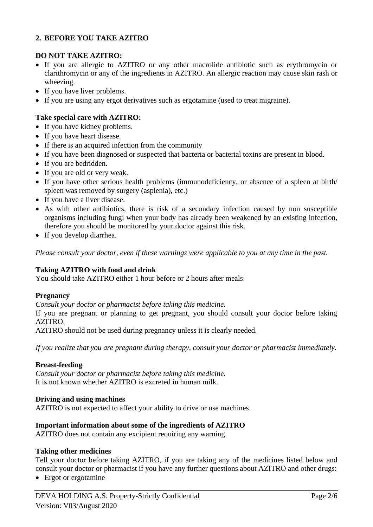# **2. BEFORE YOU TAKE AZITRO**

## **DO NOT TAKE AZITRO:**

- If you are allergic to AZITRO or any other macrolide antibiotic such as erythromycin or clarithromycin or any of the ingredients in AZITRO. An allergic reaction may cause skin rash or wheezing.
- If you have liver problems.
- If you are using any ergot derivatives such as ergotamine (used to treat migraine).

## **Take special care with AZITRO:**

- If you have kidney problems.
- If you have heart disease.
- If there is an acquired infection from the community
- If you have been diagnosed or suspected that bacteria or bacterial toxins are present in blood.
- If you are bedridden.
- If you are old or very weak.
- If you have other serious health problems (immunodeficiency, or absence of a spleen at birth/ spleen was removed by surgery (asplenia), etc.)
- If you have a liver disease.
- As with other antibiotics, there is risk of a secondary infection caused by non susceptible organisms including fungi when your body has already been weakened by an existing infection, therefore you should be monitored by your doctor against this risk.
- If you develop diarrhea.

*Please consult your doctor, even if these warnings were applicable to you at any time in the past.*

# **Taking AZITRO with food and drink**

You should take AZITRO either 1 hour before or 2 hours after meals.

## **Pregnancy**

*Consult your doctor or pharmacist before taking this medicine.*

If you are pregnant or planning to get pregnant, you should consult your doctor before taking AZITRO.

AZITRO should not be used during pregnancy unless it is clearly needed.

*If you realize that you are pregnant during therapy, consult your doctor or pharmacist immediately.*

## **Breast-feeding**

*Consult your doctor or pharmacist before taking this medicine.* It is not known whether AZITRO is excreted in human milk.

## **Driving and using machines**

AZITRO is not expected to affect your ability to drive or use machines.

## **Important information about some of the ingredients of AZITRO**

AZITRO does not contain any excipient requiring any warning.

## **Taking other medicines**

Tell your doctor before taking AZITRO, if you are taking any of the medicines listed below and consult your doctor or pharmacist if you have any further questions about AZITRO and other drugs:

• Ergot or ergotamine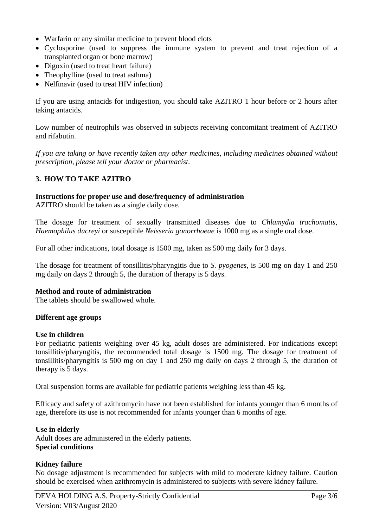- Warfarin or any similar medicine to prevent blood clots
- Cyclosporine (used to suppress the immune system to prevent and treat rejection of a transplanted organ or bone marrow)
- Digoxin (used to treat heart failure)
- Theophylline (used to treat asthma)
- Nelfinavir (used to treat HIV infection)

If you are using antacids for indigestion, you should take AZITRO 1 hour before or 2 hours after taking antacids.

Low number of neutrophils was observed in subjects receiving concomitant treatment of AZITRO and rifabutin.

*If you are taking or have recently taken any other medicines, including medicines obtained without prescription, please tell your doctor or pharmacist*.

## **3. HOW TO TAKE AZITRO**

### **Instructions for proper use and dose/frequency of administration**

AZITRO should be taken as a single daily dose.

The dosage for treatment of sexually transmitted diseases due to *Chlamydia trachomatis*, *Haemophilus ducreyi* or susceptible *Neisseria gonorrhoeae* is 1000 mg as a single oral dose.

For all other indications, total dosage is 1500 mg, taken as 500 mg daily for 3 days.

The dosage for treatment of tonsillitis/pharyngitis due to *S. pyogenes,* is 500 mg on day 1 and 250 mg daily on days 2 through 5, the duration of therapy is 5 days.

#### **Method and route of administration**

The tablets should be swallowed whole.

#### **Different age groups**

#### **Use in children**

For pediatric patients weighing over 45 kg, adult doses are administered. For indications except tonsillitis/pharyngitis, the recommended total dosage is 1500 mg. The dosage for treatment of tonsillitis/pharyngitis is 500 mg on day 1 and 250 mg daily on days 2 through 5, the duration of therapy is 5 days.

Oral suspension forms are available for pediatric patients weighing less than 45 kg.

Efficacy and safety of azithromycin have not been established for infants younger than 6 months of age, therefore its use is not recommended for infants younger than 6 months of age.

#### **Use in elderly**

Adult doses are administered in the elderly patients. **Special conditions**

#### **Kidney failure**

No dosage adjustment is recommended for subjects with mild to moderate kidney failure. Caution should be exercised when azithromycin is administered to subjects with severe kidney failure.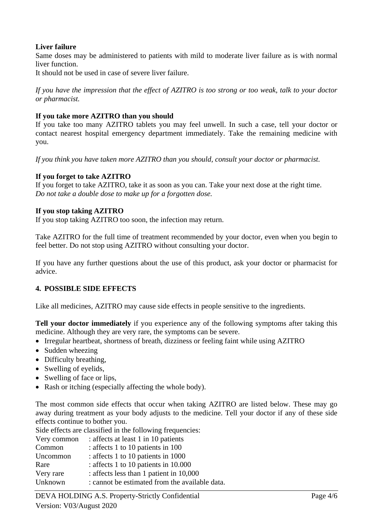## **Liver failure**

Same doses may be administered to patients with mild to moderate liver failure as is with normal liver function.

It should not be used in case of severe liver failure.

*If you have the impression that the effect of AZITRO is too strong or too weak, talk to your doctor or pharmacist.*

## **If you take more AZITRO than you should**

If you take too many AZITRO tablets you may feel unwell. In such a case, tell your doctor or contact nearest hospital emergency department immediately. Take the remaining medicine with you.

*If you think you have taken more AZITRO than you should, consult your doctor or pharmacist.*

## **If you forget to take AZITRO**

If you forget to take AZITRO, take it as soon as you can. Take your next dose at the right time. *Do not take a double dose to make up for a forgotten dose.* 

## **If you stop taking AZITRO**

If you stop taking AZITRO too soon, the infection may return.

Take AZITRO for the full time of treatment recommended by your doctor, even when you begin to feel better. Do not stop using AZITRO without consulting your doctor.

If you have any further questions about the use of this product, ask your doctor or pharmacist for advice.

# **4. POSSIBLE SIDE EFFECTS**

Like all medicines, AZITRO may cause side effects in people sensitive to the ingredients.

**Tell your doctor immediately** if you experience any of the following symptoms after taking this medicine. Although they are very rare, the symptoms can be severe.

- Irregular heartbeat, shortness of breath, dizziness or feeling faint while using AZITRO
- Sudden wheezing
- Difficulty breathing,
- Swelling of eyelids,
- Swelling of face or lips,
- Rash or itching (especially affecting the whole body).

The most common side effects that occur when taking AZITRO are listed below. These may go away during treatment as your body adjusts to the medicine. Tell your doctor if any of these side effects continue to bother you.

Side effects are classified in the following frequencies:

| Very common | : affects at least 1 in 10 patients            |
|-------------|------------------------------------------------|
| Common      | : affects 1 to 10 patients in 100              |
| Uncommon    | : affects 1 to 10 patients in 1000             |
| Rare        | : affects 1 to 10 patients in 10.000           |
| Very rare   | : affects less than 1 patient in 10,000        |
| Unknown     | : cannot be estimated from the available data. |
|             |                                                |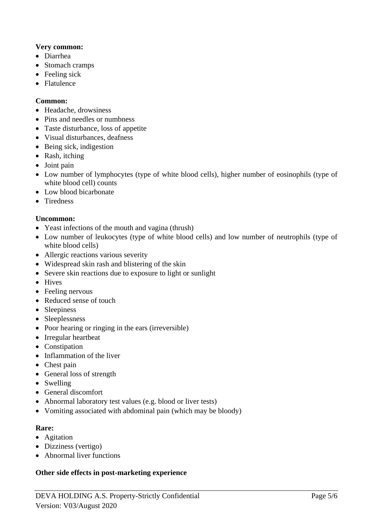# **Very common:**

- Diarrhea
- Stomach cramps
- Feeling sick
- Flatulence

## **Common:**

- Headache, drowsiness
- Pins and needles or numbness
- Taste disturbance, loss of appetite
- Visual disturbances, deafness
- Being sick, indigestion
- Rash, itching
- Joint pain
- Low number of lymphocytes (type of white blood cells), higher number of eosinophils (type of white blood cell) counts
- Low blood bicarbonate
- Tiredness

# **Uncommon:**

- Yeast infections of the mouth and vagina (thrush)
- Low number of leukocytes (type of white blood cells) and low number of neutrophils (type of white blood cells)
- Allergic reactions various severity
- Widespread skin rash and blistering of the skin
- Severe skin reactions due to exposure to light or sunlight
- Hives
- Feeling nervous
- Reduced sense of touch
- Sleepiness
- Sleeplessness
- Poor hearing or ringing in the ears (irreversible)
- Irregular heartbeat
- Constination
- Inflammation of the liver
- Chest pain
- General loss of strength
- Swelling
- General discomfort
- Abnormal laboratory test values (e.g. blood or liver tests)
- Vomiting associated with abdominal pain (which may be bloody)

# **Rare:**

- Agitation
- Dizziness (vertigo)
- Abnormal liver functions

# **Other side effects in post-marketing experience**